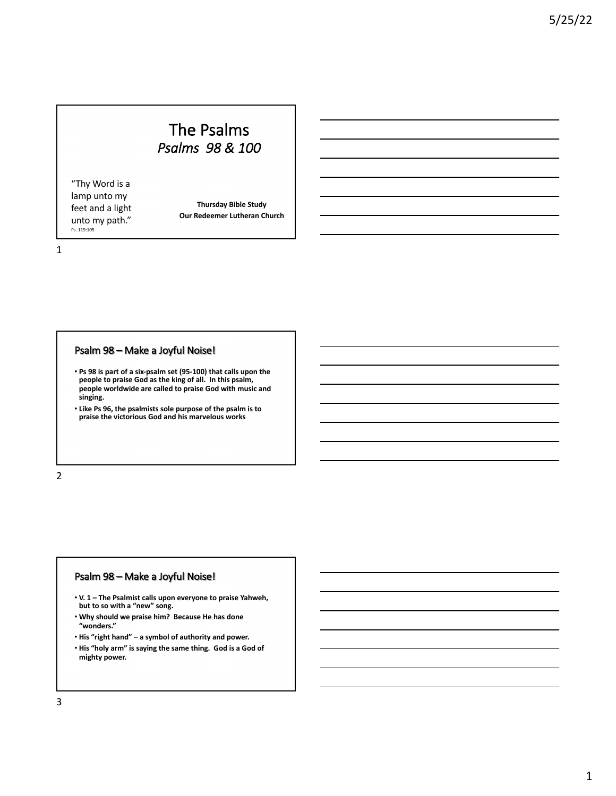# The Psalms *Psalms 98 & 100*

"Thy Word is a lamp unto my feet and a light unto my path." Ps. 119:105

**Thursday Bible Study Our Redeemer Lutheran Church**

1

## Psalm 98 – Make a Joyful Noise!

- **Ps 98 is part of a six-psalm set (95-100) that calls upon the people to praise God as the king of all. In this psalm, people worldwide are called to praise God with music and singing.**
- **Like Ps 96, the psalmists sole purpose of the psalm is to praise the victorious God and his marvelous works**

2

#### Psalm 98 – Make a Joyful Noise!

- **V. 1 – The Psalmist calls upon everyone to praise Yahweh, but to so with a "new" song.**
- **Why should we praise him? Because He has done "wonders."**
- **His "right hand" – a symbol of authority and power.**  • **His "holy arm" is saying the same thing. God is a God of**
- **mighty power.**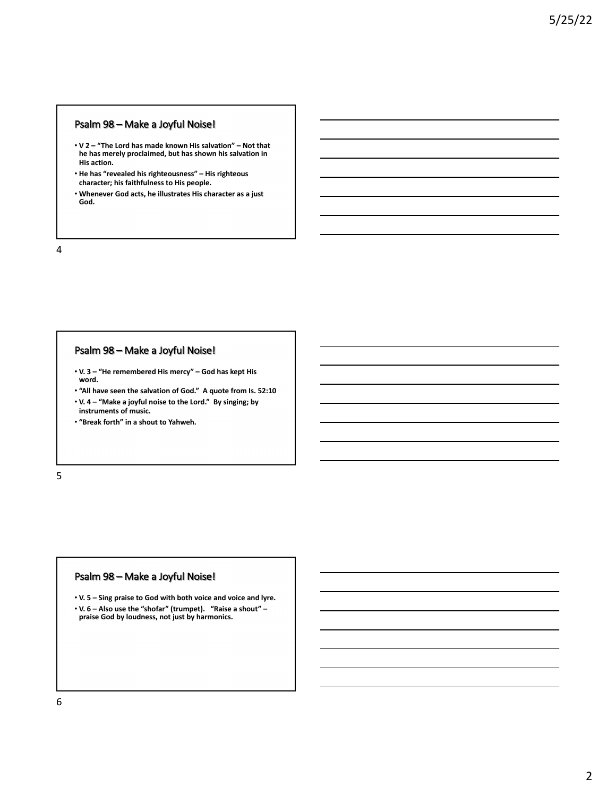## Psalm 98 – Make a Joyful Noise!

- **V 2 – "The Lord has made known His salvation" – Not that he has merely proclaimed, but has shown his salvation in His action.**
- **He has "revealed his righteousness" – His righteous character; his faithfulness to His people.**
- **Whenever God acts, he illustrates His character as a just God.**

4

# Psalm 98 – Make a Joyful Noise!

- **V. 3 – "He remembered His mercy" – God has kept His word.**
- **"All have seen the salvation of God." A quote from Is. 52:10** • **V. 4 – "Make a joyful noise to the Lord." By singing; by**
- **instruments of music.**

• **"Break forth" in a shout to Yahweh.**

5

#### Psalm 98 – Make a Joyful Noise!

• **V. 5 – Sing praise to God with both voice and voice and lyre.** • **V. 6 – Also use the "shofar" (trumpet). "Raise a shout" – praise God by loudness, not just by harmonics.**